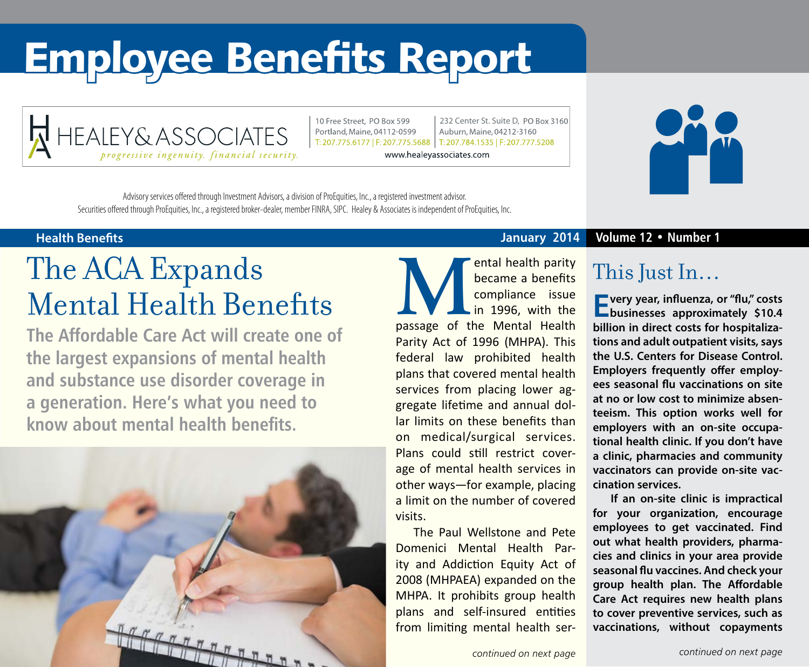# Employee Benefits Report



10 Free Street, PO Box 599 Portland, Maine, 04112-0599

232 Center St. Suite D, PO Box 3160 Auburn, Maine, 04212-3160 T: 207.775.6177 | F: 207.775.5688 | T: 207.784.1535 | F: 207.777.5208

www.healeyassociates.com



Advisory services offered through Investment Advisors, a division of ProEquities, Inc., a registered investment advisor. Securities offered through ProEquities, Inc., a registered broker-dealer, member FINRA, SIPC. Healey & Associates is independent of ProEquities, Inc.

## The ACA Expands Mental Health Benefits

**The Affordable Care Act will create one of the largest expansions of mental health and substance use disorder coverage in a generation. Here's what you need to know about mental health benefits.**



#### **Health Benefits January 2014 Volume 12 • Number 1**

**MENTAL HEALTERN FOR THE COMPLEM COMPLEM AND THE PASSAGE OF THE PARTICIPAL PRESSURIES AND THE PARTICIPAL PRESSURIES AND THE PARTICIPAL PRESSURIES AND THE PARTICIPAL PRESSURIES AND THE PARTICIPAL PRESSURIES AND THE PARTICIP** became a benefits compliance issue in 1996, with the Parity Act of 1996 (MHPA). This federal law prohibited health plans that covered mental health services from placing lower aggregate lifetime and annual dollar limits on these benefits than on medical/surgical services. Plans could still restrict coverage of mental health services in other ways—for example, placing a limit on the number of covered visits.

The Paul Wellstone and Pete Domenici Mental Health Parity and Addiction Equity Act of 2008 (MHPAEA) expanded on the MHPA. It prohibits group health plans and self-insured entities from limiting mental health ser-

### This Just In…

**Every year, influenza, or "flu," costs businesses approximately \$10.4 billion in direct costs for hospitalizations and adult outpatient visits, says the U.S. Centers for Disease Control. Employers frequently offer employees seasonal flu vaccinations on site at no or low cost to minimize absenteeism. This option works well for employers with an on-site occupational health clinic. If you don't have a clinic, pharmacies and community vaccinators can provide on-site vaccination services.** 

**If an on-site clinic is impractical for your organization, encourage employees to get vaccinated. Find out what health providers, pharmacies and clinics in your area provide seasonal flu vaccines. And check your group health plan. The Affordable Care Act requires new health plans to cover preventive services, such as vaccinations, without copayments**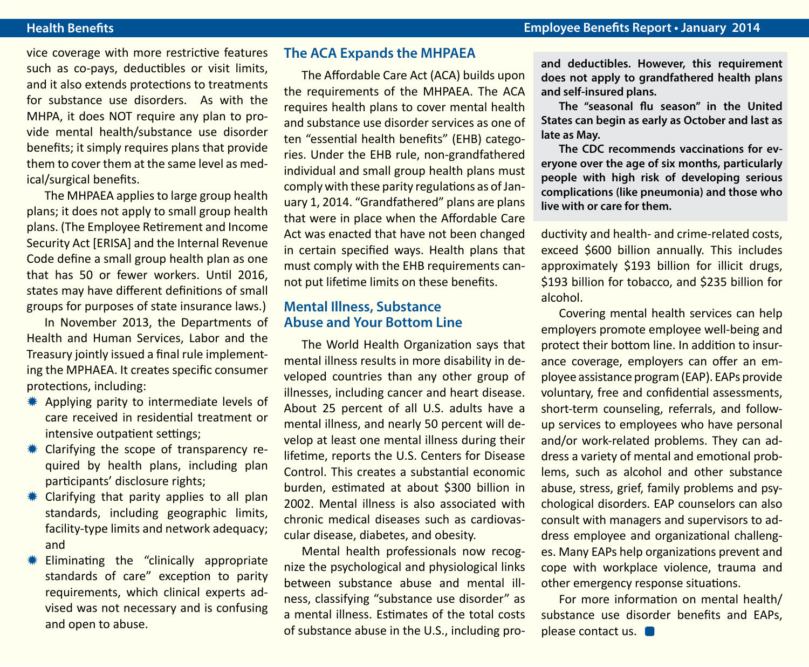vice coverage with more restrictive features such as co-pays, deductibles or visit limits, and it also extends protections to treatments for substance use disorders. As with the MHPA, it does NOT require any plan to provide mental health/substance use disorder benefits; it simply requires plans that provide them to cover them at the same level as medical/surgical benefits.

The MHPAEA applies to large group health plans; it does not apply to small group health plans. (The Employee Retirement and Income Security Act [ERISA] and the Internal Revenue Code define a small group health plan as one that has 50 or fewer workers. Until 2016, states may have different definitions of small groups for purposes of state insurance laws.)

In November 2013, the Departments of Health and Human Services, Labor and the Treasury jointly issued a final rule implementing the MPHAEA. It creates specific consumer protections, including:

- \* Applying parity to intermediate levels of care received in residential treatment or intensive outpatient settings;
- $*$  Clarifying the scope of transparency required by health plans, including plan participants' disclosure rights;
- $*$  Clarifying that parity applies to all plan standards, including geographic limits, facility-type limits and network adequacy; and
- $*$  Eliminating the "clinically appropriate standards of care" exception to parity requirements, which clinical experts advised was not necessary and is confusing and open to abuse.

#### **The ACA Expands the MHPAEA**

The Affordable Care Act (ACA) builds upon the requirements of the MHPAEA. The ACA requires health plans to cover mental health and substance use disorder services as one of ten "essential health benefits" (EHB) categories. Under the EHB rule, non-grandfathered individual and small group health plans must comply with these parity regulations as of January 1, 2014. "Grandfathered" plans are plans that were in place when the Affordable Care Act was enacted that have not been changed in certain specified ways. Health plans that must comply with the EHB requirements cannot put lifetime limits on these benefits.

#### **Mental Illness, Substance Abuse and Your Bottom Line**

The World Health Organization says that mental illness results in more disability in developed countries than any other group of illnesses, including cancer and heart disease. About 25 percent of all U.S. adults have a mental illness, and nearly 50 percent will develop at least one mental illness during their lifetime, reports the U.S. Centers for Disease Control. This creates a substantial economic burden, estimated at about \$300 billion in 2002. Mental illness is also associated with chronic medical diseases such as cardiovascular disease, diabetes, and obesity.

Mental health professionals now recognize the psychological and physiological links between substance abuse and mental illness, classifying "substance use disorder" as a mental illness. Estimates of the total costs of substance abuse in the U.S., including pro**and deductibles. However, this requirement does not apply to grandfathered health plans and self-insured plans.** 

**The "seasonal flu season" in the United States can begin as early as October and last as late as May.** 

**The CDC recommends vaccinations for everyone over the age of six months, particularly people with high risk of developing serious complications (like pneumonia) and those who live with or care for them.**

ductivity and health- and crime-related costs, exceed \$600 billion annually. This includes approximately \$193 billion for illicit drugs, \$193 billion for tobacco, and \$235 billion for alcohol.

Covering mental health services can help employers promote employee well-being and protect their bottom line. In addition to insurance coverage, employers can offer an employee assistance program (EAP). EAPs provide voluntary, free and confidential assessments, short-term counseling, referrals, and followup services to employees who have personal and/or work-related problems. They can address a variety of mental and emotional problems, such as alcohol and other substance abuse, stress, grief, family problems and psychological disorders. EAP counselors can also consult with managers and supervisors to address employee and organizational challenges. Many EAPs help organizations prevent and cope with workplace violence, trauma and other emergency response situations.

For more information on mental health/ substance use disorder benefits and EAPs, please contact us.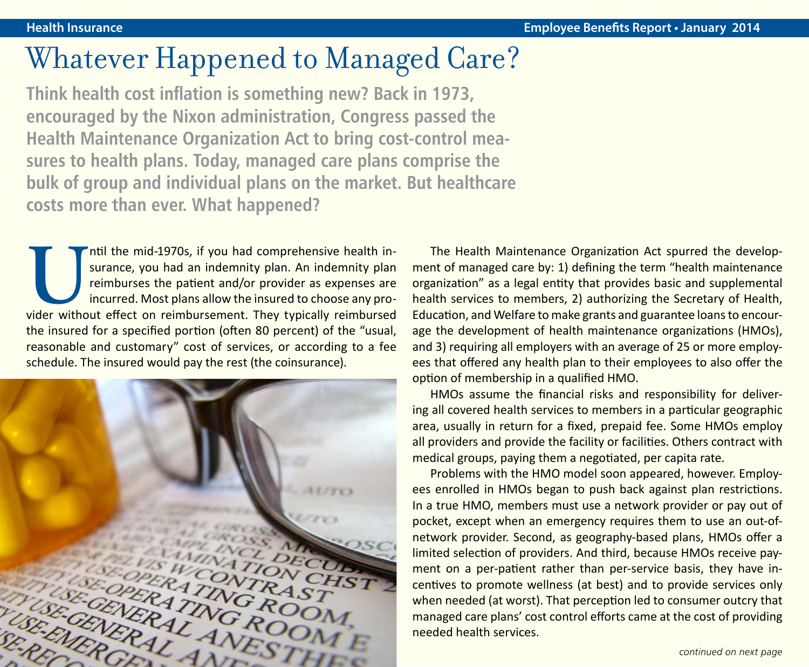### Whatever Happened to Managed Care?

**Think health cost inflation is something new? Back in 1973, encouraged by the Nixon administration, Congress passed the Health Maintenance Organization Act to bring cost-control measures to health plans. Today, managed care plans comprise the bulk of group and individual plans on the market. But healthcare costs more than ever. What happened?**

Intil the mid-1970s, if you had comprehensive health in-<br>surance, you had an indemnity plan. An indemnity plan<br>reimburses the patient and/or provider as expenses are<br>incurred. Most plans allow the insured to choose any pro surance, you had an indemnity plan. An indemnity plan reimburses the patient and/or provider as expenses are incurred. Most plans allow the insured to choose any prothe insured for a specified portion (often 80 percent) of the "usual, reasonable and customary" cost of services, or according to a fee schedule. The insured would pay the rest (the coinsurance).



The Health Maintenance Organization Act spurred the development of managed care by: 1) defining the term "health maintenance organization" as a legal entity that provides basic and supplemental health services to members, 2) authorizing the Secretary of Health, Education, and Welfare to make grants and guarantee loans to encourage the development of health maintenance organizations (HMOs), and 3) requiring all employers with an average of 25 or more employees that offered any health plan to their employees to also offer the option of membership in a qualified HMO.

HMOs assume the financial risks and responsibility for delivering all covered health services to members in a particular geographic area, usually in return for a fixed, prepaid fee. Some HMOs employ all providers and provide the facility or facilities. Others contract with medical groups, paying them a negotiated, per capita rate.

Problems with the HMO model soon appeared, however. Employees enrolled in HMOs began to push back against plan restrictions. In a true HMO, members must use a network provider or pay out of pocket, except when an emergency requires them to use an out-ofnetwork provider. Second, as geography-based plans, HMOs offer a limited selection of providers. And third, because HMOs receive payment on a per-patient rather than per-service basis, they have incentives to promote wellness (at best) and to provide services only when needed (at worst). That perception led to consumer outcry that managed care plans' cost control efforts came at the cost of providing needed health services.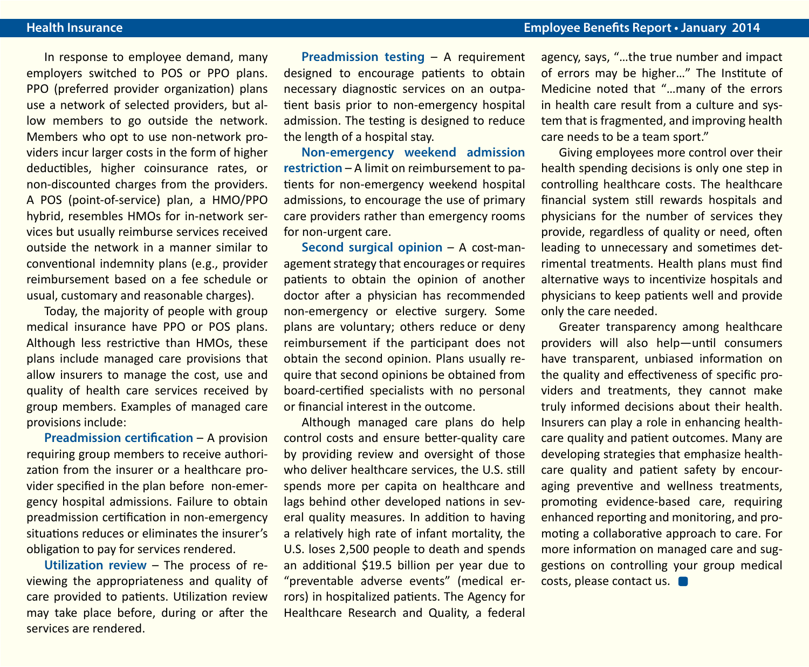In response to employee demand, many employers switched to POS or PPO plans. PPO (preferred provider organization) plans use a network of selected providers, but allow members to go outside the network. Members who opt to use non-network providers incur larger costs in the form of higher deductibles, higher coinsurance rates, or non-discounted charges from the providers. A POS (point-of-service) plan, a HMO/PPO hybrid, resembles HMOs for in-network services but usually reimburse services received outside the network in a manner similar to conventional indemnity plans (e.g., provider reimbursement based on a fee schedule or usual, customary and reasonable charges).

Today, the majority of people with group medical insurance have PPO or POS plans. Although less restrictive than HMOs, these plans include managed care provisions that allow insurers to manage the cost, use and quality of health care services received by group members. Examples of managed care provisions include:

**Preadmission certification – A provision** requiring group members to receive authorization from the insurer or a healthcare provider specified in the plan before non-emergency hospital admissions. Failure to obtain preadmission certification in non-emergency situations reduces or eliminates the insurer's obligation to pay for services rendered.

**Utilization review** – The process of reviewing the appropriateness and quality of care provided to patients. Utilization review may take place before, during or after the services are rendered.

**Preadmission testing** – A requirement designed to encourage patients to obtain necessary diagnostic services on an outpatient basis prior to non-emergency hospital admission. The testing is designed to reduce the length of a hospital stay.

**Non-emergency weekend admission restriction** – A limit on reimbursement to patients for non-emergency weekend hospital admissions, to encourage the use of primary care providers rather than emergency rooms for non-urgent care.

**Second surgical opinion** – A cost-management strategy that encourages or requires patients to obtain the opinion of another doctor after a physician has recommended non-emergency or elective surgery. Some plans are voluntary; others reduce or deny reimbursement if the participant does not obtain the second opinion. Plans usually require that second opinions be obtained from board-certified specialists with no personal or financial interest in the outcome.

Although managed care plans do help control costs and ensure better-quality care by providing review and oversight of those who deliver healthcare services, the U.S. still spends more per capita on healthcare and lags behind other developed nations in several quality measures. In addition to having a relatively high rate of infant mortality, the U.S. loses 2,500 people to death and spends an additional \$19.5 billion per year due to "preventable adverse events" (medical errors) in hospitalized patients. The Agency for Healthcare Research and Quality, a federal

agency, says, "…the true number and impact of errors may be higher…" The Institute of Medicine noted that "…many of the errors in health care result from a culture and system that is fragmented, and improving health care needs to be a team sport."

Giving employees more control over their health spending decisions is only one step in controlling healthcare costs. The healthcare financial system still rewards hospitals and physicians for the number of services they provide, regardless of quality or need, often leading to unnecessary and sometimes detrimental treatments. Health plans must find alternative ways to incentivize hospitals and physicians to keep patients well and provide only the care needed.

Greater transparency among healthcare providers will also help—until consumers have transparent, unbiased information on the quality and effectiveness of specific providers and treatments, they cannot make truly informed decisions about their health. Insurers can play a role in enhancing healthcare quality and patient outcomes. Many are developing strategies that emphasize healthcare quality and patient safety by encouraging preventive and wellness treatments, promoting evidence-based care, requiring enhanced reporting and monitoring, and promoting a collaborative approach to care. For more information on managed care and suggestions on controlling your group medical costs, please contact us.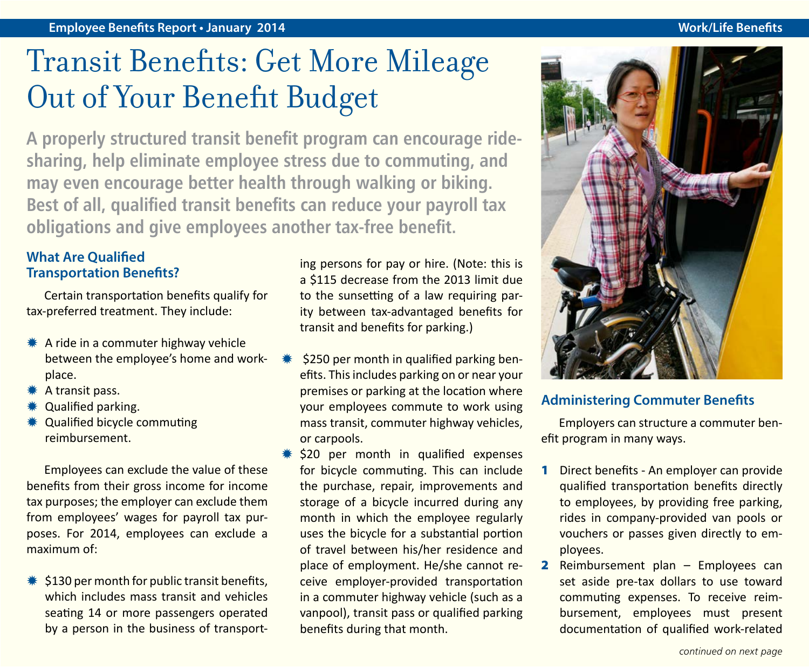## Transit Benefits: Get More Mileage Out of Your Benefit Budget

**A properly structured transit benefit program can encourage ridesharing, help eliminate employee stress due to commuting, and may even encourage better health through walking or biking. Best of all, qualified transit benefits can reduce your payroll tax obligations and give employees another tax-free benefit.**

### **What Are Qualified Transportation Benefits?**

Certain transportation benefits qualify for tax-preferred treatment. They include:

- $*$  A ride in a commuter highway vehicle between the employee's home and workplace.
- \* A transit pass.
- **Qualified parking.**
- **\*** Qualified bicycle commuting reimbursement.

Employees can exclude the value of these benefits from their gross income for income tax purposes; the employer can exclude them from employees' wages for payroll tax purposes. For 2014, employees can exclude a maximum of:

 $*$ \$130 per month for public transit benefits, which includes mass transit and vehicles seating 14 or more passengers operated by a person in the business of transporting persons for pay or hire. (Note: this is a \$115 decrease from the 2013 limit due to the sunsetting of a law requiring parity between tax-advantaged benefits for transit and benefits for parking.)

- \$250 per month in qualified parking benefits. This includes parking on or near your premises or parking at the location where your employees commute to work using mass transit, commuter highway vehicles, or carpools.
- $*$  \$20 per month in qualified expenses for bicycle commuting. This can include the purchase, repair, improvements and storage of a bicycle incurred during any month in which the employee regularly uses the bicycle for a substantial portion of travel between his/her residence and place of employment. He/she cannot receive employer-provided transportation in a commuter highway vehicle (such as a vanpool), transit pass or qualified parking benefits during that month.



### **Administering Commuter Benefits**

Employers can structure a commuter benefit program in many ways.

- 1 Direct benefits An employer can provide qualified transportation benefits directly to employees, by providing free parking, rides in company-provided van pools or vouchers or passes given directly to employees.
- 2 Reimbursement plan Employees can set aside pre-tax dollars to use toward commuting expenses. To receive reimbursement, employees must present documentation of qualified work-related